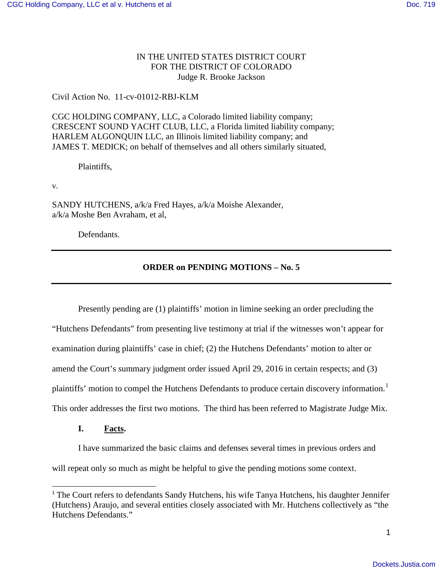# IN THE UNITED STATES DISTRICT COURT FOR THE DISTRICT OF COLORADO Judge R. Brooke Jackson

# Civil Action No. 11-cv-01012-RBJ-KLM

CGC HOLDING COMPANY, LLC, a Colorado limited liability company; CRESCENT SOUND YACHT CLUB, LLC, a Florida limited liability company; HARLEM ALGONQUIN LLC, an Illinois limited liability company; and JAMES T. MEDICK; on behalf of themselves and all others similarly situated,

Plaintiffs,

v.

SANDY HUTCHENS, a/k/a Fred Hayes, a/k/a Moishe Alexander, a/k/a Moshe Ben Avraham, et al,

Defendants.

# **ORDER on PENDING MOTIONS – No. 5**

 Presently pending are (1) plaintiffs' motion in limine seeking an order precluding the "Hutchens Defendants" from presenting live testimony at trial if the witnesses won't appear for examination during plaintiffs' case in chief; (2) the Hutchens Defendants' motion to alter or amend the Court's summary judgment order issued April 29, 2016 in certain respects; and (3) plaintiffs' motion to compel the Hutchens Defendants to produce certain discovery information.<sup>[1](#page-0-0)</sup> This order addresses the first two motions. The third has been referred to Magistrate Judge Mix.

**I. Facts.** 

I have summarized the basic claims and defenses several times in previous orders and will repeat only so much as might be helpful to give the pending motions some context.

<span id="page-0-0"></span><sup>&</sup>lt;sup>1</sup> The Court refers to defendants Sandy Hutchens, his wife Tanya Hutchens, his daughter Jennifer (Hutchens) Araujo, and several entities closely associated with Mr. Hutchens collectively as "the Hutchens Defendants."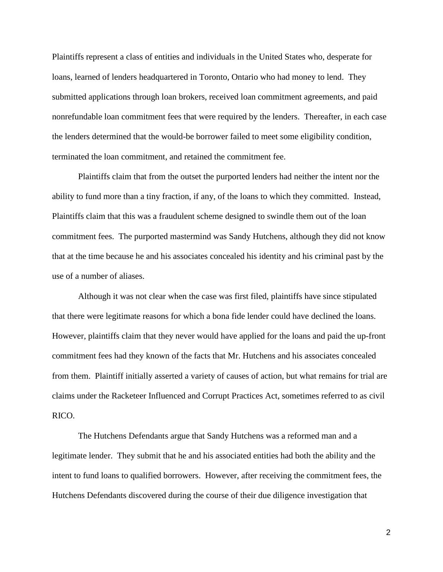Plaintiffs represent a class of entities and individuals in the United States who, desperate for loans, learned of lenders headquartered in Toronto, Ontario who had money to lend. They submitted applications through loan brokers, received loan commitment agreements, and paid nonrefundable loan commitment fees that were required by the lenders. Thereafter, in each case the lenders determined that the would-be borrower failed to meet some eligibility condition, terminated the loan commitment, and retained the commitment fee.

Plaintiffs claim that from the outset the purported lenders had neither the intent nor the ability to fund more than a tiny fraction, if any, of the loans to which they committed. Instead, Plaintiffs claim that this was a fraudulent scheme designed to swindle them out of the loan commitment fees. The purported mastermind was Sandy Hutchens, although they did not know that at the time because he and his associates concealed his identity and his criminal past by the use of a number of aliases.

Although it was not clear when the case was first filed, plaintiffs have since stipulated that there were legitimate reasons for which a bona fide lender could have declined the loans. However, plaintiffs claim that they never would have applied for the loans and paid the up-front commitment fees had they known of the facts that Mr. Hutchens and his associates concealed from them. Plaintiff initially asserted a variety of causes of action, but what remains for trial are claims under the Racketeer Influenced and Corrupt Practices Act, sometimes referred to as civil RICO.

The Hutchens Defendants argue that Sandy Hutchens was a reformed man and a legitimate lender. They submit that he and his associated entities had both the ability and the intent to fund loans to qualified borrowers. However, after receiving the commitment fees, the Hutchens Defendants discovered during the course of their due diligence investigation that

2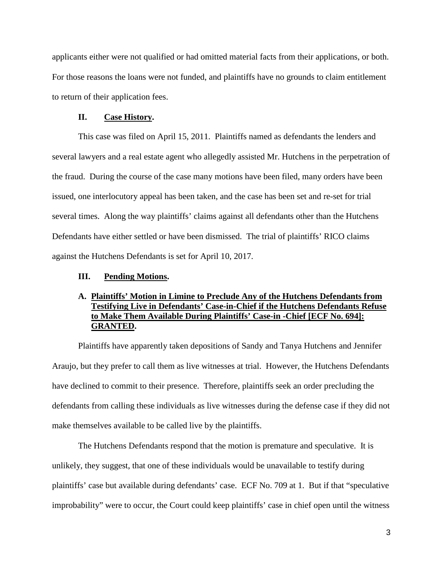applicants either were not qualified or had omitted material facts from their applications, or both. For those reasons the loans were not funded, and plaintiffs have no grounds to claim entitlement to return of their application fees.

#### **II. Case History.**

This case was filed on April 15, 2011. Plaintiffs named as defendants the lenders and several lawyers and a real estate agent who allegedly assisted Mr. Hutchens in the perpetration of the fraud. During the course of the case many motions have been filed, many orders have been issued, one interlocutory appeal has been taken, and the case has been set and re-set for trial several times. Along the way plaintiffs' claims against all defendants other than the Hutchens Defendants have either settled or have been dismissed. The trial of plaintiffs' RICO claims against the Hutchens Defendants is set for April 10, 2017.

#### **III. Pending Motions.**

# **A. Plaintiffs' Motion in Limine to Preclude Any of the Hutchens Defendants from Testifying Live in Defendants' Case-in-Chief if the Hutchens Defendants Refuse to Make Them Available During Plaintiffs' Case-in -Chief [ECF No. 694]: GRANTED.**

Plaintiffs have apparently taken depositions of Sandy and Tanya Hutchens and Jennifer Araujo, but they prefer to call them as live witnesses at trial. However, the Hutchens Defendants have declined to commit to their presence. Therefore, plaintiffs seek an order precluding the defendants from calling these individuals as live witnesses during the defense case if they did not make themselves available to be called live by the plaintiffs.

 The Hutchens Defendants respond that the motion is premature and speculative. It is unlikely, they suggest, that one of these individuals would be unavailable to testify during plaintiffs' case but available during defendants' case. ECF No. 709 at 1. But if that "speculative improbability" were to occur, the Court could keep plaintiffs' case in chief open until the witness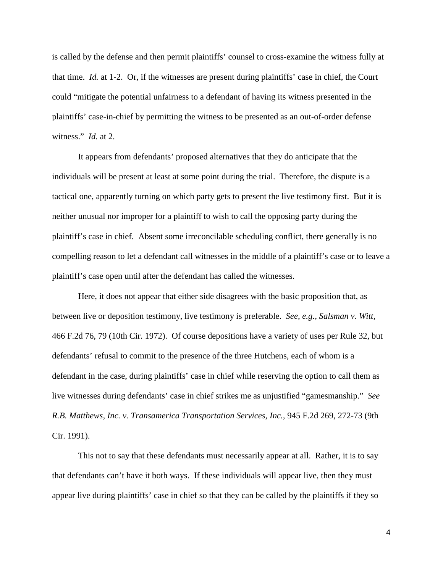is called by the defense and then permit plaintiffs' counsel to cross-examine the witness fully at that time. *Id.* at 1-2. Or, if the witnesses are present during plaintiffs' case in chief, the Court could "mitigate the potential unfairness to a defendant of having its witness presented in the plaintiffs' case-in-chief by permitting the witness to be presented as an out-of-order defense witness." *Id.* at 2.

 It appears from defendants' proposed alternatives that they do anticipate that the individuals will be present at least at some point during the trial. Therefore, the dispute is a tactical one, apparently turning on which party gets to present the live testimony first. But it is neither unusual nor improper for a plaintiff to wish to call the opposing party during the plaintiff's case in chief. Absent some irreconcilable scheduling conflict, there generally is no compelling reason to let a defendant call witnesses in the middle of a plaintiff's case or to leave a plaintiff's case open until after the defendant has called the witnesses.

Here, it does not appear that either side disagrees with the basic proposition that, as between live or deposition testimony, live testimony is preferable. *See, e.g., Salsman v. Witt,*  466 F.2d 76, 79 (10th Cir. 1972). Of course depositions have a variety of uses per Rule 32, but defendants' refusal to commit to the presence of the three Hutchens, each of whom is a defendant in the case, during plaintiffs' case in chief while reserving the option to call them as live witnesses during defendants' case in chief strikes me as unjustified "gamesmanship." *See R.B. Matthews, Inc. v. Transamerica Transportation Services, Inc.,* 945 F.2d 269, 272-73 (9th Cir. 1991).

 This not to say that these defendants must necessarily appear at all. Rather, it is to say that defendants can't have it both ways. If these individuals will appear live, then they must appear live during plaintiffs' case in chief so that they can be called by the plaintiffs if they so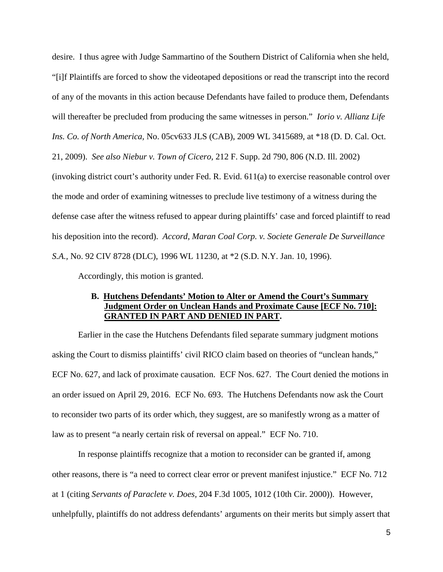desire. I thus agree with Judge Sammartino of the Southern District of California when she held, "[i]f Plaintiffs are forced to show the videotaped depositions or read the transcript into the record of any of the movants in this action because Defendants have failed to produce them, Defendants will thereafter be precluded from producing the same witnesses in person." *Iorio v. Allianz Life Ins. Co. of North America,* No. 05cv633 JLS (CAB), 2009 WL 3415689, at \*18 (D. D. Cal. Oct. 21, 2009). *See also Niebur v. Town of Cicero,* 212 F. Supp. 2d 790, 806 (N.D. Ill. 2002) (invoking district court's authority under Fed. R. Evid. 611(a) to exercise reasonable control over the mode and order of examining witnesses to preclude live testimony of a witness during the defense case after the witness refused to appear during plaintiffs' case and forced plaintiff to read his deposition into the record). *Accord, Maran Coal Corp. v. Societe Generale De Surveillance S.A.,* No. 92 CIV 8728 (DLC), 1996 WL 11230, at \*2 (S.D. N.Y. Jan. 10, 1996).

Accordingly, this motion is granted.

## **B. Hutchens Defendants' Motion to Alter or Amend the Court's Summary Judgment Order on Unclean Hands and Proximate Cause [ECF No. 710]: GRANTED IN PART AND DENIED IN PART.**

Earlier in the case the Hutchens Defendants filed separate summary judgment motions asking the Court to dismiss plaintiffs' civil RICO claim based on theories of "unclean hands," ECF No. 627, and lack of proximate causation. ECF Nos. 627. The Court denied the motions in an order issued on April 29, 2016. ECF No. 693. The Hutchens Defendants now ask the Court to reconsider two parts of its order which, they suggest, are so manifestly wrong as a matter of law as to present "a nearly certain risk of reversal on appeal." ECF No. 710.

 In response plaintiffs recognize that a motion to reconsider can be granted if, among other reasons, there is "a need to correct clear error or prevent manifest injustice." ECF No. 712 at 1 (citing *Servants of Paraclete v. Does,* 204 F.3d 1005, 1012 (10th Cir. 2000)). However, unhelpfully, plaintiffs do not address defendants' arguments on their merits but simply assert that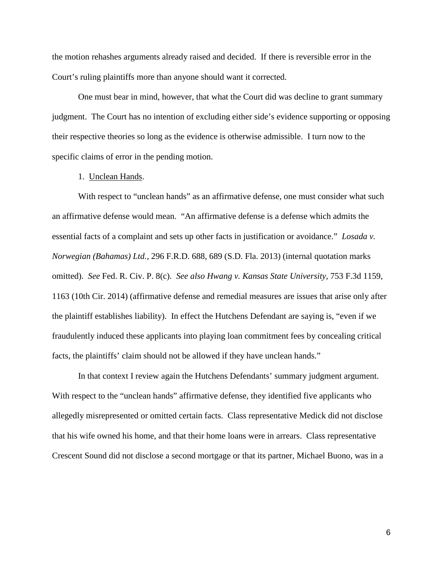the motion rehashes arguments already raised and decided. If there is reversible error in the Court's ruling plaintiffs more than anyone should want it corrected.

 One must bear in mind, however, that what the Court did was decline to grant summary judgment. The Court has no intention of excluding either side's evidence supporting or opposing their respective theories so long as the evidence is otherwise admissible. I turn now to the specific claims of error in the pending motion.

## 1. Unclean Hands.

With respect to "unclean hands" as an affirmative defense, one must consider what such an affirmative defense would mean. "An affirmative defense is a defense which admits the essential facts of a complaint and sets up other facts in justification or avoidance." *Losada v. Norwegian (Bahamas) Ltd.,* 296 F.R.D. 688, 689 (S.D. Fla. 2013) (internal quotation marks omitted). *See* Fed. R. Civ. P. 8(c). *See also Hwang v. Kansas State University,* 753 F.3d 1159, 1163 (10th Cir. 2014) (affirmative defense and remedial measures are issues that arise only after the plaintiff establishes liability). In effect the Hutchens Defendant are saying is, "even if we fraudulently induced these applicants into playing loan commitment fees by concealing critical facts, the plaintiffs' claim should not be allowed if they have unclean hands."

In that context I review again the Hutchens Defendants' summary judgment argument. With respect to the "unclean hands" affirmative defense, they identified five applicants who allegedly misrepresented or omitted certain facts. Class representative Medick did not disclose that his wife owned his home, and that their home loans were in arrears. Class representative Crescent Sound did not disclose a second mortgage or that its partner, Michael Buono, was in a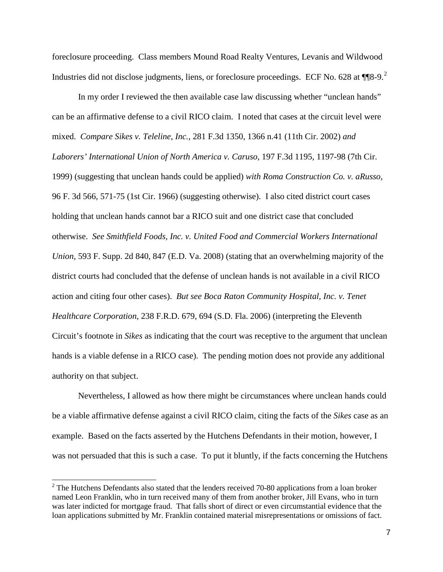foreclosure proceeding. Class members Mound Road Realty Ventures, Levanis and Wildwood Industries did not disclose judgments, liens, or foreclosure proceedings. ECF No. 6[2](#page-6-0)8 at  $\P$ <sup>8</sup>-9.<sup>2</sup>

In my order I reviewed the then available case law discussing whether "unclean hands" can be an affirmative defense to a civil RICO claim. I noted that cases at the circuit level were mixed. *Compare Sikes v. Teleline, Inc.*, 281 F.3d 1350, 1366 n.41 (11th Cir. 2002) *and Laborers' International Union of North America v. Caruso,* 197 F.3d 1195, 1197-98 (7th Cir. 1999) (suggesting that unclean hands could be applied) *with Roma Construction Co. v. aRusso,*  96 F. 3d 566, 571-75 (1st Cir. 1966) (suggesting otherwise). I also cited district court cases holding that unclean hands cannot bar a RICO suit and one district case that concluded otherwise. *See Smithfield Foods, Inc. v. United Food and Commercial Workers International Union,* 593 F. Supp. 2d 840, 847 (E.D. Va. 2008) (stating that an overwhelming majority of the district courts had concluded that the defense of unclean hands is not available in a civil RICO action and citing four other cases). *But see Boca Raton Community Hospital, Inc. v. Tenet Healthcare Corporation,* 238 F.R.D. 679, 694 (S.D. Fla. 2006) (interpreting the Eleventh Circuit's footnote in *Sikes* as indicating that the court was receptive to the argument that unclean hands is a viable defense in a RICO case). The pending motion does not provide any additional authority on that subject.

Nevertheless, I allowed as how there might be circumstances where unclean hands could be a viable affirmative defense against a civil RICO claim, citing the facts of the *Sikes* case as an example. Based on the facts asserted by the Hutchens Defendants in their motion, however, I was not persuaded that this is such a case. To put it bluntly, if the facts concerning the Hutchens

 $\overline{a}$ 

<span id="page-6-0"></span> $2^2$  The Hutchens Defendants also stated that the lenders received 70-80 applications from a loan broker named Leon Franklin, who in turn received many of them from another broker, Jill Evans, who in turn was later indicted for mortgage fraud. That falls short of direct or even circumstantial evidence that the loan applications submitted by Mr. Franklin contained material misrepresentations or omissions of fact.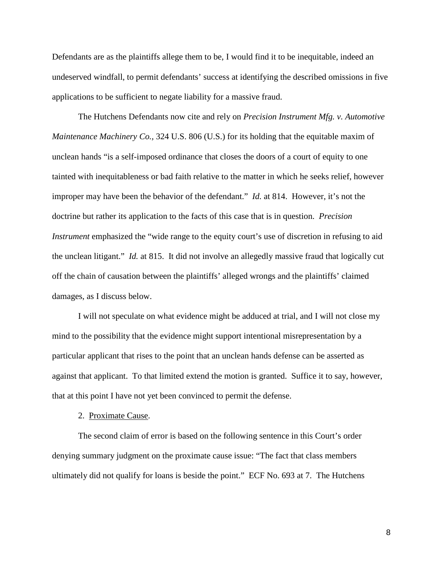Defendants are as the plaintiffs allege them to be, I would find it to be inequitable, indeed an undeserved windfall, to permit defendants' success at identifying the described omissions in five applications to be sufficient to negate liability for a massive fraud.

The Hutchens Defendants now cite and rely on *Precision Instrument Mfg. v. Automotive Maintenance Machinery Co.,* 324 U.S. 806 (U.S.) for its holding that the equitable maxim of unclean hands "is a self-imposed ordinance that closes the doors of a court of equity to one tainted with inequitableness or bad faith relative to the matter in which he seeks relief, however improper may have been the behavior of the defendant." *Id.* at 814. However, it's not the doctrine but rather its application to the facts of this case that is in question. *Precision Instrument* emphasized the "wide range to the equity court's use of discretion in refusing to aid the unclean litigant." *Id.* at 815. It did not involve an allegedly massive fraud that logically cut off the chain of causation between the plaintiffs' alleged wrongs and the plaintiffs' claimed damages, as I discuss below.

I will not speculate on what evidence might be adduced at trial, and I will not close my mind to the possibility that the evidence might support intentional misrepresentation by a particular applicant that rises to the point that an unclean hands defense can be asserted as against that applicant. To that limited extend the motion is granted. Suffice it to say, however, that at this point I have not yet been convinced to permit the defense.

#### 2. Proximate Cause.

 The second claim of error is based on the following sentence in this Court's order denying summary judgment on the proximate cause issue: "The fact that class members ultimately did not qualify for loans is beside the point." ECF No. 693 at 7. The Hutchens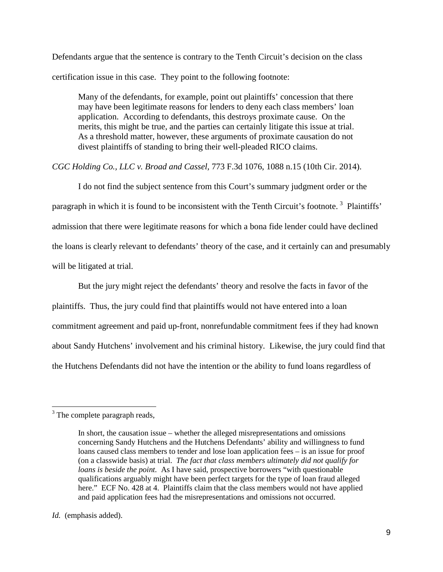Defendants argue that the sentence is contrary to the Tenth Circuit's decision on the class certification issue in this case. They point to the following footnote:

Many of the defendants, for example, point out plaintiffs' concession that there may have been legitimate reasons for lenders to deny each class members' loan application. According to defendants, this destroys proximate cause. On the merits, this might be true, and the parties can certainly litigate this issue at trial. As a threshold matter, however, these arguments of proximate causation do not divest plaintiffs of standing to bring their well-pleaded RICO claims.

*CGC Holding Co., LLC v. Broad and Cassel,* 773 F.3d 1076, 1088 n.15 (10th Cir. 2014).

 I do not find the subject sentence from this Court's summary judgment order or the paragraph in which it is found to be inconsistent with the Tenth Circuit's footnote.<sup>[3](#page-8-0)</sup> Plaintiffs' admission that there were legitimate reasons for which a bona fide lender could have declined the loans is clearly relevant to defendants' theory of the case, and it certainly can and presumably will be litigated at trial.

But the jury might reject the defendants' theory and resolve the facts in favor of the plaintiffs. Thus, the jury could find that plaintiffs would not have entered into a loan commitment agreement and paid up-front, nonrefundable commitment fees if they had known about Sandy Hutchens' involvement and his criminal history. Likewise, the jury could find that the Hutchens Defendants did not have the intention or the ability to fund loans regardless of

<span id="page-8-0"></span> $3$  The complete paragraph reads,

In short, the causation issue – whether the alleged misrepresentations and omissions concerning Sandy Hutchens and the Hutchens Defendants' ability and willingness to fund loans caused class members to tender and lose loan application fees – is an issue for proof (on a classwide basis) at trial. *The fact that class members ultimately did not qualify for loans is beside the point.* As I have said, prospective borrowers "with questionable qualifications arguably might have been perfect targets for the type of loan fraud alleged here." ECF No. 428 at 4. Plaintiffs claim that the class members would not have applied and paid application fees had the misrepresentations and omissions not occurred.

*Id.* (emphasis added).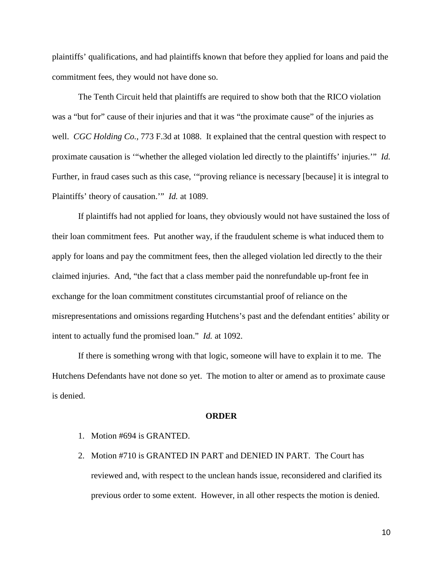plaintiffs' qualifications, and had plaintiffs known that before they applied for loans and paid the commitment fees, they would not have done so.

The Tenth Circuit held that plaintiffs are required to show both that the RICO violation was a "but for" cause of their injuries and that it was "the proximate cause" of the injuries as well. *CGC Holding Co.,* 773 F.3d at 1088. It explained that the central question with respect to proximate causation is '"whether the alleged violation led directly to the plaintiffs' injuries.'" *Id.*  Further, in fraud cases such as this case, '"proving reliance is necessary [because] it is integral to Plaintiffs' theory of causation.'" *Id.* at 1089.

 If plaintiffs had not applied for loans, they obviously would not have sustained the loss of their loan commitment fees. Put another way, if the fraudulent scheme is what induced them to apply for loans and pay the commitment fees, then the alleged violation led directly to the their claimed injuries. And, "the fact that a class member paid the nonrefundable up-front fee in exchange for the loan commitment constitutes circumstantial proof of reliance on the misrepresentations and omissions regarding Hutchens's past and the defendant entities' ability or intent to actually fund the promised loan." *Id.* at 1092.

If there is something wrong with that logic, someone will have to explain it to me. The Hutchens Defendants have not done so yet. The motion to alter or amend as to proximate cause is denied.

#### **ORDER**

- 1. Motion #694 is GRANTED.
- 2. Motion #710 is GRANTED IN PART and DENIED IN PART. The Court has reviewed and, with respect to the unclean hands issue, reconsidered and clarified its previous order to some extent. However, in all other respects the motion is denied.